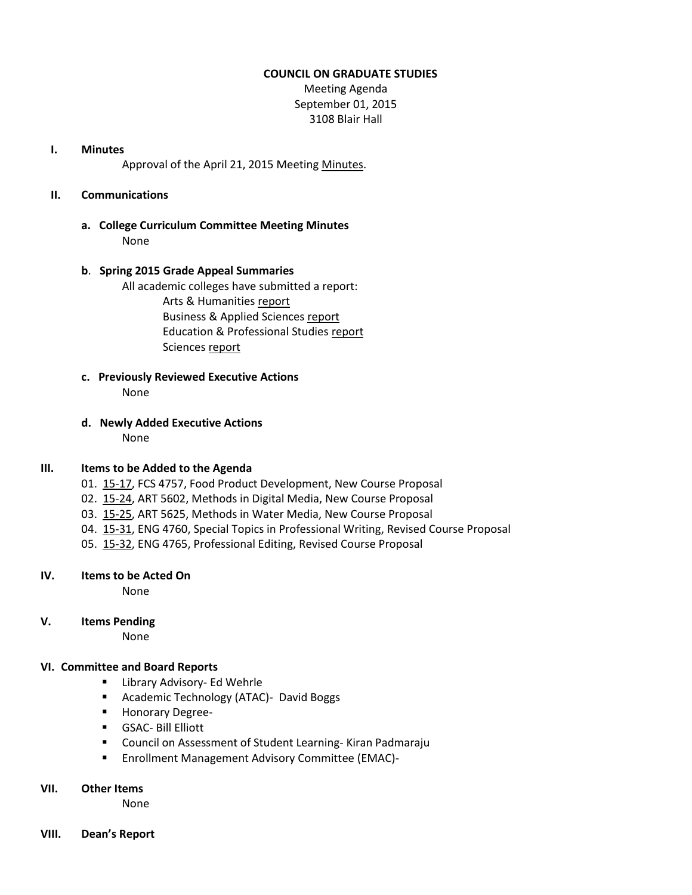#### **COUNCIL ON GRADUATE STUDIES**

Meeting Agenda September 01, 2015 3108 Blair Hall

#### **I. Minutes**

Approval of the April 21, 2015 Meetin[g Minutes.](http://castle.eiu.edu/eiucgs/currentminutes/Minutes04-21-15.pdf)

## **II. Communications**

**a. College Curriculum Committee Meeting Minutes** None

## **b**. **Spring 2015 Grade Appeal Summaries**

 All academic colleges have submitted a report: Arts & Humanities [report](http://castle.eiu.edu/~eiucgs/documents/GradeAppealSP15CAH.pdf) Business & Applied Sciences [report](http://castle.eiu.edu/~eiucgs/documents/GradeAppealSP15LCBAS.pdf) Education & Professional Studies [report](http://castle.eiu.edu/~eiucgs/documents/GradeAppealSP15CEPS.pdf) Sciences [report](http://castle.eiu.edu/~eiucgs/documents/GradeAppealSP15COS.pdf)

- **c. Previously Reviewed Executive Actions** None
- **d. Newly Added Executive Actions** None

## **III. Items to be Added to the Agenda**

- 01. [15-17,](http://castle.eiu.edu/~eiucgs/currentagendaitems/agenda15-17.pdf) FCS 4757, Food Product Development, New Course Proposal
- 02. [15-24,](http://castle.eiu.edu/~eiucgs/currentagendaitems/agenda15-24.pdf) ART 5602, Methods in Digital Media, New Course Proposal
- 03. [15-25,](http://castle.eiu.edu/~eiucgs/currentagendaitems/agenda15-25.pdf) ART 5625, Methods in Water Media, New Course Proposal
- 04. [15-31,](http://castle.eiu.edu/~eiucgs/currentagendaitems/agenda15-31.pdf) ENG 4760, Special Topics in Professional Writing, Revised Course Proposal
- 05. [15-32,](http://castle.eiu.edu/~eiucgs/currentagendaitems/agenda15-32.pdf) ENG 4765, Professional Editing, Revised Course Proposal

## **IV. Items to be Acted On**

None

# **V. Items Pending**

None

## **VI. Committee and Board Reports**

- **EXEC** Library Advisory- Ed Wehrle
- Academic Technology (ATAC)- David Boggs
- **Honorary Degree-**
- GSAC- Bill Elliott
- **E** Council on Assessment of Student Learning-Kiran Padmaraju
- **Enrollment Management Advisory Committee (EMAC)-**

## **VII. Other Items**

None

**VIII. Dean's Report**